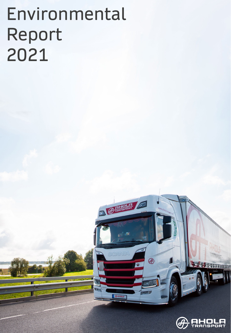# Environmental Report 2021

**COMMERCIAL PROPERTY** 

 $\bigoplus$ 

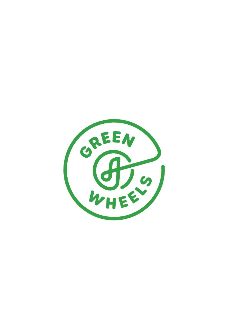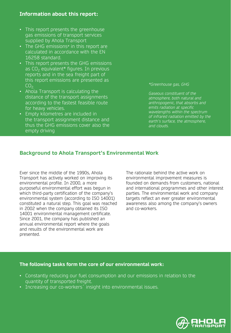### **Information about this report:**

- This report presents the greenhouse gas emissions of transport services supplied by Ahola Transport
- The GHG emissions*\** in this report are calculated in accordance with the EN 16258 standard.
- This report presents the GHG emissions as  $CO<sub>2</sub>$  equivalent<sup>\*</sup> figures. In previous reports and in the sea freight part of this report emissions are presented as  $CO<sub>2</sub>$
- Ahola Transport is calculating the distance of the transport assignments according to the fastest feasible route for heavy vehicles.
- Empty kilometres are included in the transport assignment distance and thus the GHG emissions cover also the empty driving

*\*Greenhouse gas, GHG*

*Gaseous constituent of the atmosphere, both natural and anthropogenic, that absorbs and emits radiation at specific wavelengths within the spectrum of infrared radiation emitted by the earth's surface, the atmosphere, and clouds.*

### **Background to Ahola Transport's Environmental Work**

Ever since the middle of the 1990s, Ahola Transport has actively worked on improving its environmental profile. In 2000, a more purposeful environmental effort was begun in which third-party certification of the company's environmental system (according to ISO 14001) constituted a natural step. This goal was reached in 2002 when the company obtained its ISO 14001 environmental management certificate. Since 2001, the company has published an annual environmental report where the goals and results of the environmental work are presented.

The rationale behind the active work on environmental improvement measures is founded on demands from customers, national and international programmes and other interest parties. The environmental work and company targets reflect an ever greater environmental awareness also among the company's owners and co-workers.

#### **The following tasks form the core of our environmental work:**

- Constantly reducing our fuel consumption and our emissions in relation to the quantity of transported freight.
- Increasing our co-workers´ insight into environmental issues.

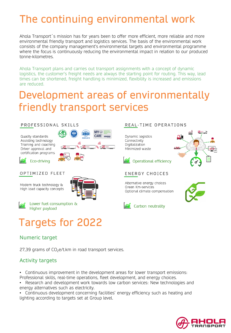# The continuing environmental work

Ahola Transport´s mission has for years been to offer more efficient, more reliable and more environmental friendly transport and logistics services. The basis of the environmental work consists of the company management's environmental targets and environmental programme where the focus is continuously reducing the environmental impact in relation to our produced tonne-kilometres.

Ahola Transport plans and carries out transport assignments with a concept of dynamic logistics, the customer's freight needs are always the starting point for routing. This way, lead times can be shortened, freight handling is minimized, flexibility is increased and emissions are reduced.

### Development areas of environmentally friendly transport services

#### PROFESSIONAL SKILLS

Quality standards Assisting technology Training and coaching Driver approval and certification programs



### Eco-driving

#### OPTIMIZED FLEET

Modern truck technology & High load capacity concepts



Lower fuel consumption & Higher payload

# Targets for 2022

### Numeric target

 $27.39$  grams of  $CO<sub>2</sub>e/t$ .km in road transport services.

### Activity targets

• Continuous improvement in the development areas for lower transport emissions: Professional skills, real-time operations, fleet development, and energy choices.

• Research and development work towards low carbon services: New technologies and energy alternatives such as electricity.

• Continuous development concerning facilities' energy efficiency such as heating and lighting according to targets set at Group level.

#### REAL-TIME OPERATIONS

Dynamic logistics Connectivity Digitalization Minimized waste





**ENERGY CHOICES** 

Alternative energy choices Green Km-services Optional climate compensation





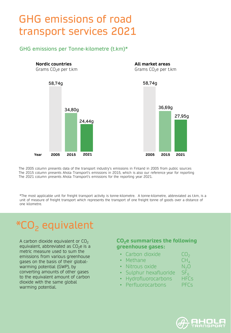## GHG emissions of road transport services 2021

### GHG emissions per Tonne-kilometre (t.km)\*

**Nordic countries** Grams  $CO<sub>2</sub>e$  per t.km **All market areas** Grams  $CO<sub>2</sub>e$  per t.km 34,80g 24,44g **2015 2021** 36,69g 27,95g **Year 2005 2005 2015 2021** 58,74g 58,74g

The 2005 column presents data of the transport industry's emissions in Finland in 2005 from public sources The 2015 column presents Ahola Transport's emissions in 2015, which is also our reference year for reporting The 2021 column presents Ahola Transport's emissions for the reporting year 2021.

\*The most applicable unit for freight transport activity is tonne-kilometre. A tonne-kilometre, abbreviated as t.km, is a unit of measure of freight transport which represents the transport of one freight tonne of goods over a distance of one kilometre.

# CO<sub>2</sub> equivalent

A carbon dioxide equivalent or  $CO<sub>2</sub>$ equivalent, abbreviated as  $CO<sub>2</sub>e$  is a metric measure used to sum the emissions from various greenhouse gases on the basis of their globalwarming potential (GWP), by converting amounts of other gases to the equivalent amount of carbon dioxide with the same global warming potential.

### **CO2e summarizes the following greenhouse gases:**

- Carbon dioxide  $CO_2$ <br>• Methane  $CH_4$
- Methane  $CH_4$ <br>• Nitrous oxide  $N_2O$
- 
- Nitrous oxide  $N_2O$ <br>• Sulphur hexafluoride SF • Sulphur hexafluoride  $SF_6$ <br>• Hydrofluorocarbons HFCs
- Hydrofluorocarbons
- Perfluorocarbons PFCs

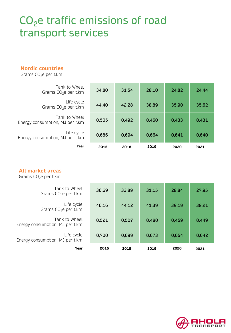# CO<sub>2</sub>e traffic emissions of road transport services

#### **Nordic countries**

Grams  $CO<sub>2</sub>e$  per t.km

| Tank to Wheel<br>Grams $CO2e$ per t.km           | 34,80 | 31,54 | 28,10 | 24,82 | 24,44 |
|--------------------------------------------------|-------|-------|-------|-------|-------|
| Life cycle<br>Grams $CO2e$ per t.km              | 44,40 | 42,28 | 38,89 | 35,90 | 35,62 |
| Tank to Wheel<br>Energy consumption, MJ per t.km | 0,505 | 0,492 | 0,460 | 0,433 | 0,431 |
| Life cycle<br>Energy consumption, MJ per t.km    | 0,686 | 0,694 | 0,664 | 0,641 | 0,640 |
| Year                                             | 2015  | 2018  | 2019  | 2020  | 2021  |

### **All market areas**

Grams  $CO<sub>2</sub>e$  per t.km

| Tank to Wheel<br>Grams $CO2e$ per t.km           | 36,69 | 33,89 | 31,15 | 28,84 | 27,95 |
|--------------------------------------------------|-------|-------|-------|-------|-------|
| Life cycle<br>Grams $CO2e$ per t.km              | 46,16 | 44,12 | 41,39 | 39,19 | 38,21 |
| Tank to Wheel<br>Energy consumption, MJ per t.km | 0,521 | 0,507 | 0,480 | 0,459 | 0,449 |
| Life cycle<br>Energy consumption, MJ per t.km    | 0,700 | 0,699 | 0,673 | 0,654 | 0,642 |
| Year                                             | 2015  | 2018  | 2019  | 2020  | 2021  |

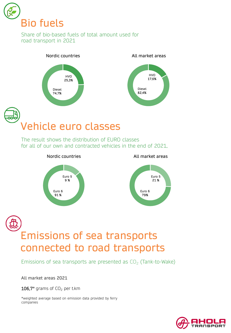

Share of bio-based fuels of total amount used for road transport in 2021



Vehicle euro classes

The result shows the distribution of EURO classes for all of our own and contracted vehicles in the end of 2021.



### Emissions of sea transports connected to road transports

Emissions of sea transports are presented as  $CO<sub>2</sub>$  (Tank-to-Wake)

All market areas 2021

106,7 $*$  grams of CO<sub>2</sub> per t.km

\*weighted average based on emission data provided by ferry companies